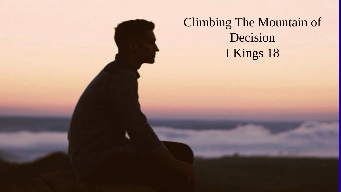#### Climbing The Mountain of Decision I Kings 18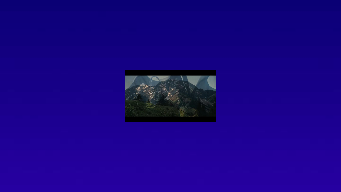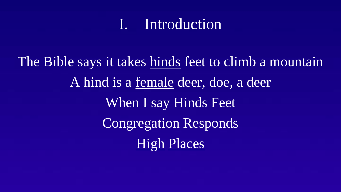# I. Introduction

The Bible says it takes hinds feet to climb a mountain A hind is a female deer, doe, a deer When I say Hinds Feet Congregation Responds High Places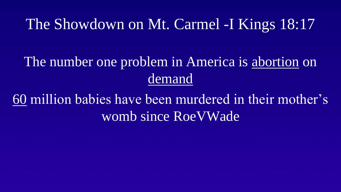## The Showdown on Mt. Carmel -I Kings 18:17

## The number one problem in America is abortion on demand

60 million babies have been murdered in their mother's womb since RoeVWade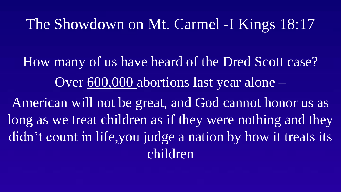## The Showdown on Mt. Carmel -I Kings 18:17

How many of us have heard of the Dred Scott case? Over 600,000 abortions last year alone –

American will not be great, and God cannot honor us as long as we treat children as if they were nothing and they didn't count in life,you judge a nation by how it treats its children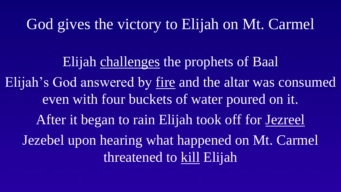## God gives the victory to Elijah on Mt. Carmel

Elijah challenges the prophets of Baal Elijah's God answered by fire and the altar was consumed even with four buckets of water poured on it. After it began to rain Elijah took off for Jezreel Jezebel upon hearing what happened on Mt. Carmel threatened to kill Elijah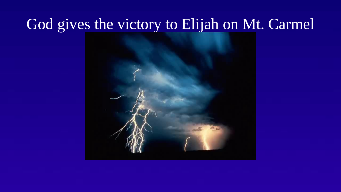# God gives the victory to Elijah on Mt. Carmel

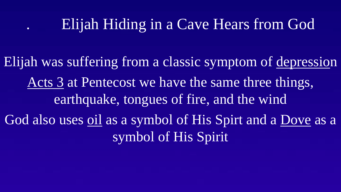## . Elijah Hiding in a Cave Hears from God

Elijah was suffering from a classic symptom of depression Acts 3 at Pentecost we have the same three things, earthquake, tongues of fire, and the wind God also uses oil as a symbol of His Spirt and a Dove as a symbol of His Spirit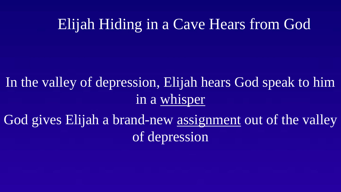## Elijah Hiding in a Cave Hears from God

# In the valley of depression, Elijah hears God speak to him in a whisper

God gives Elijah a brand-new assignment out of the valley of depression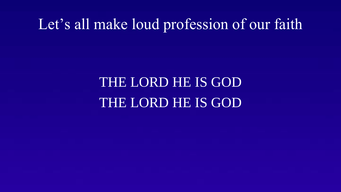## Let's all make loud profession of our faith

# THE LORD HE IS GOD THE LORD HE IS GOD